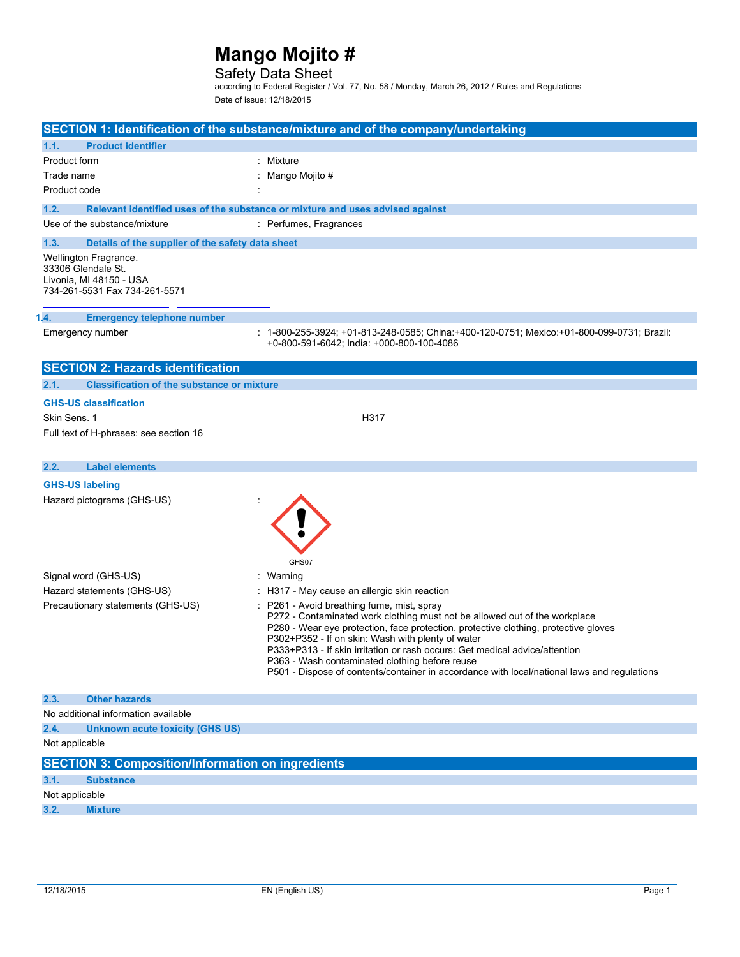### Safety Data Sheet

according to Federal Register / Vol. 77, No. 58 / Monday, March 26, 2012 / Rules and Regulations Date of issue: 12/18/2015

| SECTION 1: Identification of the substance/mixture and of the company/undertaking                       |                                                                                                                                                                                                                                                                                                                                                                                                                                                                                                    |  |  |
|---------------------------------------------------------------------------------------------------------|----------------------------------------------------------------------------------------------------------------------------------------------------------------------------------------------------------------------------------------------------------------------------------------------------------------------------------------------------------------------------------------------------------------------------------------------------------------------------------------------------|--|--|
| <b>Product identifier</b><br>1.1.                                                                       |                                                                                                                                                                                                                                                                                                                                                                                                                                                                                                    |  |  |
| Product form                                                                                            | : Mixture                                                                                                                                                                                                                                                                                                                                                                                                                                                                                          |  |  |
| Trade name                                                                                              | Mango Mojito #                                                                                                                                                                                                                                                                                                                                                                                                                                                                                     |  |  |
| Product code                                                                                            |                                                                                                                                                                                                                                                                                                                                                                                                                                                                                                    |  |  |
| 1.2.                                                                                                    | Relevant identified uses of the substance or mixture and uses advised against                                                                                                                                                                                                                                                                                                                                                                                                                      |  |  |
| Use of the substance/mixture                                                                            | : Perfumes, Fragrances                                                                                                                                                                                                                                                                                                                                                                                                                                                                             |  |  |
| 1.3.<br>Details of the supplier of the safety data sheet                                                |                                                                                                                                                                                                                                                                                                                                                                                                                                                                                                    |  |  |
| Wellington Fragrance.<br>33306 Glendale St.<br>Livonia, MI 48150 - USA<br>734-261-5531 Fax 734-261-5571 |                                                                                                                                                                                                                                                                                                                                                                                                                                                                                                    |  |  |
| 1.4.<br><b>Emergency telephone number</b>                                                               |                                                                                                                                                                                                                                                                                                                                                                                                                                                                                                    |  |  |
| Emergency number                                                                                        | 1-800-255-3924; +01-813-248-0585; China:+400-120-0751; Mexico:+01-800-099-0731; Brazil:<br>+0-800-591-6042; India: +000-800-100-4086                                                                                                                                                                                                                                                                                                                                                               |  |  |
| <b>SECTION 2: Hazards identification</b>                                                                |                                                                                                                                                                                                                                                                                                                                                                                                                                                                                                    |  |  |
| 2.1.<br><b>Classification of the substance or mixture</b>                                               |                                                                                                                                                                                                                                                                                                                                                                                                                                                                                                    |  |  |
| <b>GHS-US classification</b>                                                                            |                                                                                                                                                                                                                                                                                                                                                                                                                                                                                                    |  |  |
| Skin Sens. 1                                                                                            | H317                                                                                                                                                                                                                                                                                                                                                                                                                                                                                               |  |  |
| Full text of H-phrases: see section 16                                                                  |                                                                                                                                                                                                                                                                                                                                                                                                                                                                                                    |  |  |
| 2.2.<br><b>Label elements</b>                                                                           |                                                                                                                                                                                                                                                                                                                                                                                                                                                                                                    |  |  |
| <b>GHS-US labeling</b>                                                                                  |                                                                                                                                                                                                                                                                                                                                                                                                                                                                                                    |  |  |
| Hazard pictograms (GHS-US)                                                                              | GHS07                                                                                                                                                                                                                                                                                                                                                                                                                                                                                              |  |  |
| Signal word (GHS-US)                                                                                    | : Warning                                                                                                                                                                                                                                                                                                                                                                                                                                                                                          |  |  |
| Hazard statements (GHS-US)                                                                              | : H317 - May cause an allergic skin reaction                                                                                                                                                                                                                                                                                                                                                                                                                                                       |  |  |
| Precautionary statements (GHS-US)                                                                       | P261 - Avoid breathing fume, mist, spray<br>P272 - Contaminated work clothing must not be allowed out of the workplace<br>P280 - Wear eye protection, face protection, protective clothing, protective gloves<br>P302+P352 - If on skin: Wash with plenty of water<br>P333+P313 - If skin irritation or rash occurs: Get medical advice/attention<br>P363 - Wash contaminated clothing before reuse<br>P501 - Dispose of contents/container in accordance with local/national laws and regulations |  |  |
| 2.3.<br><b>Other hazards</b>                                                                            |                                                                                                                                                                                                                                                                                                                                                                                                                                                                                                    |  |  |
| No additional information available                                                                     |                                                                                                                                                                                                                                                                                                                                                                                                                                                                                                    |  |  |
| 2.4.<br><b>Unknown acute toxicity (GHS US)</b>                                                          |                                                                                                                                                                                                                                                                                                                                                                                                                                                                                                    |  |  |
| Not applicable                                                                                          |                                                                                                                                                                                                                                                                                                                                                                                                                                                                                                    |  |  |
| <b>SECTION 3: Composition/Information on ingredients</b>                                                |                                                                                                                                                                                                                                                                                                                                                                                                                                                                                                    |  |  |
| 3.1.<br><b>Substance</b>                                                                                |                                                                                                                                                                                                                                                                                                                                                                                                                                                                                                    |  |  |
| Not applicable                                                                                          |                                                                                                                                                                                                                                                                                                                                                                                                                                                                                                    |  |  |
| 3.2.<br><b>Mixture</b>                                                                                  |                                                                                                                                                                                                                                                                                                                                                                                                                                                                                                    |  |  |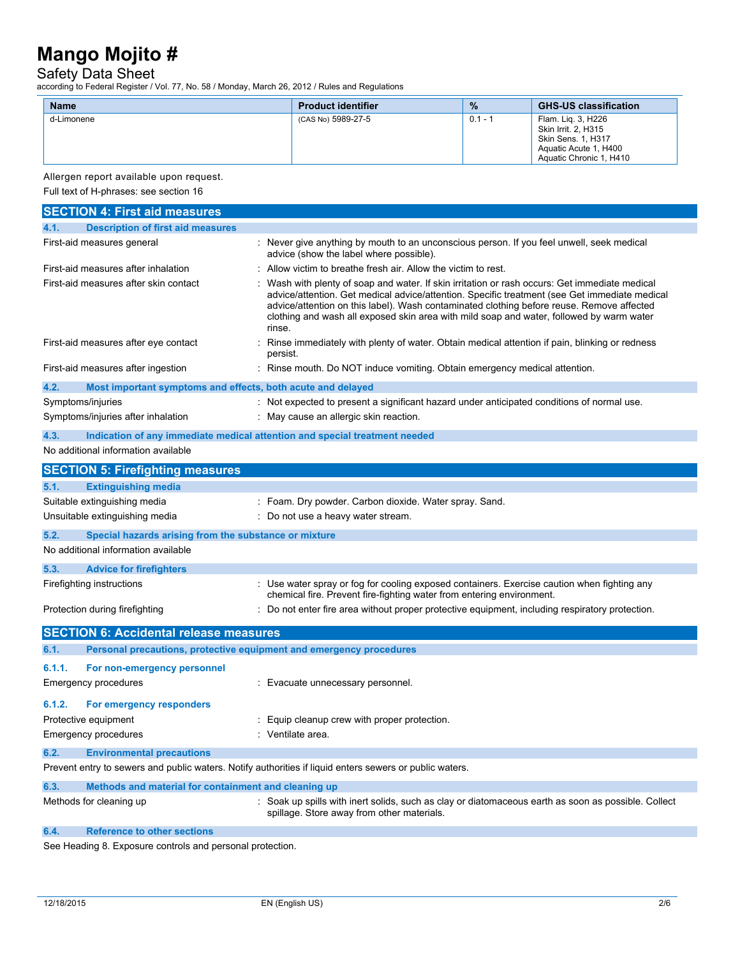### Safety Data Sheet

according to Federal Register / Vol. 77, No. 58 / Monday, March 26, 2012 / Rules and Regulations

| <b>Name</b> | <b>Product identifier</b> | $\frac{9}{6}$ | <b>GHS-US classification</b>                                                                                        |
|-------------|---------------------------|---------------|---------------------------------------------------------------------------------------------------------------------|
| d-Limonene  | (CAS No) 5989-27-5        | $0.1 - 1$     | Flam. Lig. 3, H226<br>Skin Irrit. 2, H315<br>Skin Sens. 1, H317<br>Aquatic Acute 1, H400<br>Aquatic Chronic 1, H410 |

Allergen report available upon request.

Full text of H-phrases: see section 16

| <b>SECTION 4: First aid measures</b>                                                                    |                                                                                                                                                                                                                                                                                                                                                                                                  |
|---------------------------------------------------------------------------------------------------------|--------------------------------------------------------------------------------------------------------------------------------------------------------------------------------------------------------------------------------------------------------------------------------------------------------------------------------------------------------------------------------------------------|
| 4.1.<br><b>Description of first aid measures</b>                                                        |                                                                                                                                                                                                                                                                                                                                                                                                  |
| First-aid measures general                                                                              | : Never give anything by mouth to an unconscious person. If you feel unwell, seek medical<br>advice (show the label where possible).                                                                                                                                                                                                                                                             |
| First-aid measures after inhalation                                                                     | Allow victim to breathe fresh air. Allow the victim to rest.                                                                                                                                                                                                                                                                                                                                     |
| First-aid measures after skin contact                                                                   | Wash with plenty of soap and water. If skin irritation or rash occurs: Get immediate medical<br>advice/attention. Get medical advice/attention. Specific treatment (see Get immediate medical<br>advice/attention on this label). Wash contaminated clothing before reuse. Remove affected<br>clothing and wash all exposed skin area with mild soap and water, followed by warm water<br>rinse. |
| First-aid measures after eye contact                                                                    | Rinse immediately with plenty of water. Obtain medical attention if pain, blinking or redness<br>persist.                                                                                                                                                                                                                                                                                        |
| First-aid measures after ingestion                                                                      | : Rinse mouth. Do NOT induce vomiting. Obtain emergency medical attention.                                                                                                                                                                                                                                                                                                                       |
| 4.2.<br>Most important symptoms and effects, both acute and delayed                                     |                                                                                                                                                                                                                                                                                                                                                                                                  |
| Symptoms/injuries                                                                                       | : Not expected to present a significant hazard under anticipated conditions of normal use.                                                                                                                                                                                                                                                                                                       |
| Symptoms/injuries after inhalation                                                                      | : May cause an allergic skin reaction.                                                                                                                                                                                                                                                                                                                                                           |
| Indication of any immediate medical attention and special treatment needed<br>4.3.                      |                                                                                                                                                                                                                                                                                                                                                                                                  |
| No additional information available                                                                     |                                                                                                                                                                                                                                                                                                                                                                                                  |
| <b>SECTION 5: Firefighting measures</b>                                                                 |                                                                                                                                                                                                                                                                                                                                                                                                  |
| 5.1.<br><b>Extinguishing media</b>                                                                      |                                                                                                                                                                                                                                                                                                                                                                                                  |
| Suitable extinguishing media                                                                            | : Foam. Dry powder. Carbon dioxide. Water spray. Sand.                                                                                                                                                                                                                                                                                                                                           |
| Unsuitable extinguishing media                                                                          | : Do not use a heavy water stream.                                                                                                                                                                                                                                                                                                                                                               |
| 5.2.<br>Special hazards arising from the substance or mixture                                           |                                                                                                                                                                                                                                                                                                                                                                                                  |
| No additional information available                                                                     |                                                                                                                                                                                                                                                                                                                                                                                                  |
| 5.3.<br><b>Advice for firefighters</b>                                                                  |                                                                                                                                                                                                                                                                                                                                                                                                  |
| Firefighting instructions                                                                               | : Use water spray or fog for cooling exposed containers. Exercise caution when fighting any<br>chemical fire. Prevent fire-fighting water from entering environment.                                                                                                                                                                                                                             |
| Protection during firefighting                                                                          | : Do not enter fire area without proper protective equipment, including respiratory protection.                                                                                                                                                                                                                                                                                                  |
| <b>SECTION 6: Accidental release measures</b>                                                           |                                                                                                                                                                                                                                                                                                                                                                                                  |
| 6.1.<br>Personal precautions, protective equipment and emergency procedures                             |                                                                                                                                                                                                                                                                                                                                                                                                  |
| 6.1.1.<br>For non-emergency personnel                                                                   |                                                                                                                                                                                                                                                                                                                                                                                                  |
| Emergency procedures                                                                                    | : Evacuate unnecessary personnel.                                                                                                                                                                                                                                                                                                                                                                |
| 6.1.2.<br>For emergency responders                                                                      |                                                                                                                                                                                                                                                                                                                                                                                                  |
| Protective equipment                                                                                    | : Equip cleanup crew with proper protection.                                                                                                                                                                                                                                                                                                                                                     |
| Emergency procedures                                                                                    | : Ventilate area.                                                                                                                                                                                                                                                                                                                                                                                |
| 6.2.<br><b>Environmental precautions</b>                                                                |                                                                                                                                                                                                                                                                                                                                                                                                  |
| Prevent entry to sewers and public waters. Notify authorities if liquid enters sewers or public waters. |                                                                                                                                                                                                                                                                                                                                                                                                  |
| 6.3.<br>Methods and material for containment and cleaning up                                            |                                                                                                                                                                                                                                                                                                                                                                                                  |
| Methods for cleaning up                                                                                 | : Soak up spills with inert solids, such as clay or diatomaceous earth as soon as possible. Collect<br>spillage. Store away from other materials.                                                                                                                                                                                                                                                |

### **6.4. Reference to other sections**

See Heading 8. Exposure controls and personal protection.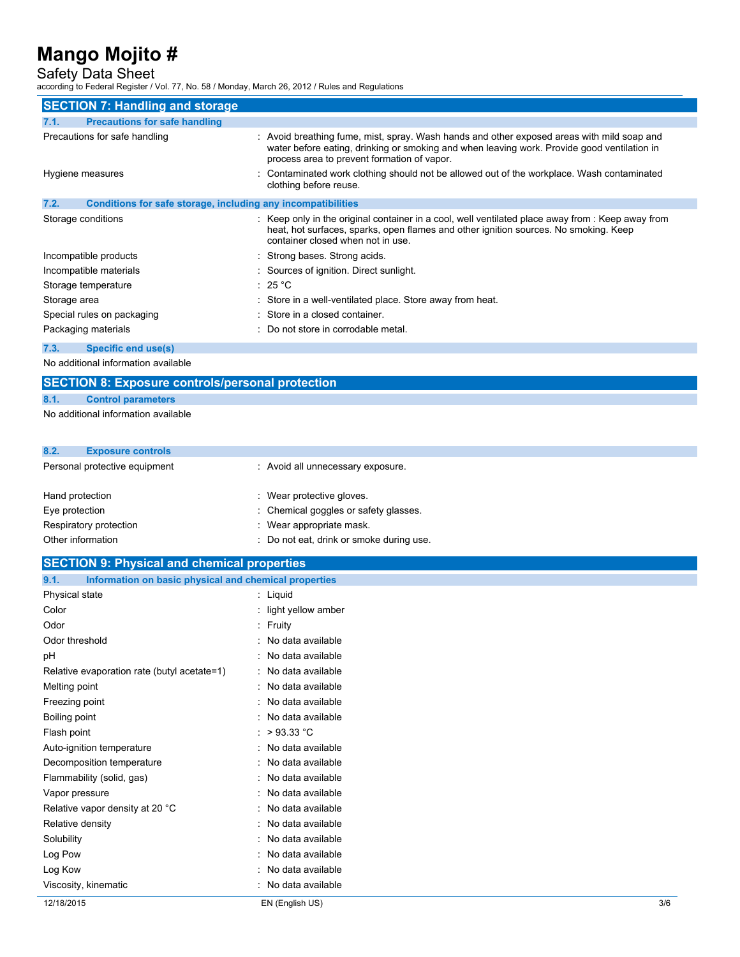### Safety Data Sheet

according to Federal Register / Vol. 77, No. 58 / Monday, March 26, 2012 / Rules and Regulations

| <b>SECTION 7: Handling and storage</b>                               |                                                                                                                                                                                                                                          |  |
|----------------------------------------------------------------------|------------------------------------------------------------------------------------------------------------------------------------------------------------------------------------------------------------------------------------------|--|
| 7.1.<br><b>Precautions for safe handling</b>                         |                                                                                                                                                                                                                                          |  |
| Precautions for safe handling                                        | : Avoid breathing fume, mist, spray. Wash hands and other exposed areas with mild soap and<br>water before eating, drinking or smoking and when leaving work. Provide good ventilation in<br>process area to prevent formation of vapor. |  |
| Hygiene measures                                                     | : Contaminated work clothing should not be allowed out of the workplace. Wash contaminated<br>clothing before reuse.                                                                                                                     |  |
| 7.2.<br>Conditions for safe storage, including any incompatibilities |                                                                                                                                                                                                                                          |  |
| Storage conditions                                                   | : Keep only in the original container in a cool, well ventilated place away from : Keep away from<br>heat, hot surfaces, sparks, open flames and other ignition sources. No smoking. Keep<br>container closed when not in use.           |  |
| Incompatible products                                                | : Strong bases. Strong acids.                                                                                                                                                                                                            |  |
| Incompatible materials                                               | : Sources of ignition. Direct sunlight.                                                                                                                                                                                                  |  |
| Storage temperature                                                  | : 25 °C                                                                                                                                                                                                                                  |  |
| Storage area                                                         | : Store in a well-ventilated place. Store away from heat.                                                                                                                                                                                |  |
| Special rules on packaging                                           | : Store in a closed container.                                                                                                                                                                                                           |  |
| Packaging materials                                                  | : Do not store in corrodable metal.                                                                                                                                                                                                      |  |
| <b>Specific end use(s)</b><br>7.3.                                   |                                                                                                                                                                                                                                          |  |

No additional information available

## **SECTION 8: Exposure controls/personal protection**

#### **8.1. Control parameters**

No additional information available

| 8.2.            | <b>Exposure controls</b>      |                                   |
|-----------------|-------------------------------|-----------------------------------|
|                 | Personal protective equipment | : Avoid all unnecessary exposure. |
| Hand protection |                               | Wear protective aloves            |

| : Chemical goggles or safety glasses.    |
|------------------------------------------|
| : Wear appropriate mask.                 |
| : Do not eat, drink or smoke during use. |
|                                          |

| <b>SECTION 9: Physical and chemical properties</b>            |                      |     |
|---------------------------------------------------------------|----------------------|-----|
| 9.1.<br>Information on basic physical and chemical properties |                      |     |
| Physical state                                                | : Liquid             |     |
| Color                                                         | : light yellow amber |     |
| Odor                                                          | : Fruity             |     |
| Odor threshold                                                | : No data available  |     |
| pH                                                            | : No data available  |     |
| Relative evaporation rate (butyl acetate=1)                   | : No data available  |     |
| Melting point                                                 | : No data available  |     |
| Freezing point                                                | : No data available  |     |
| Boiling point                                                 | : No data available  |     |
| Flash point                                                   | : $>93.33$ °C        |     |
| Auto-ignition temperature                                     | : No data available  |     |
| Decomposition temperature                                     | : No data available  |     |
| Flammability (solid, gas)                                     | : No data available  |     |
| Vapor pressure                                                | : No data available  |     |
| Relative vapor density at 20 °C                               | : No data available  |     |
| Relative density                                              | : No data available  |     |
| Solubility                                                    | : No data available  |     |
| Log Pow                                                       | : No data available  |     |
| Log Kow                                                       | : No data available  |     |
| Viscosity, kinematic                                          | : No data available  |     |
| 12/18/2015                                                    | EN (English US)      | 3/6 |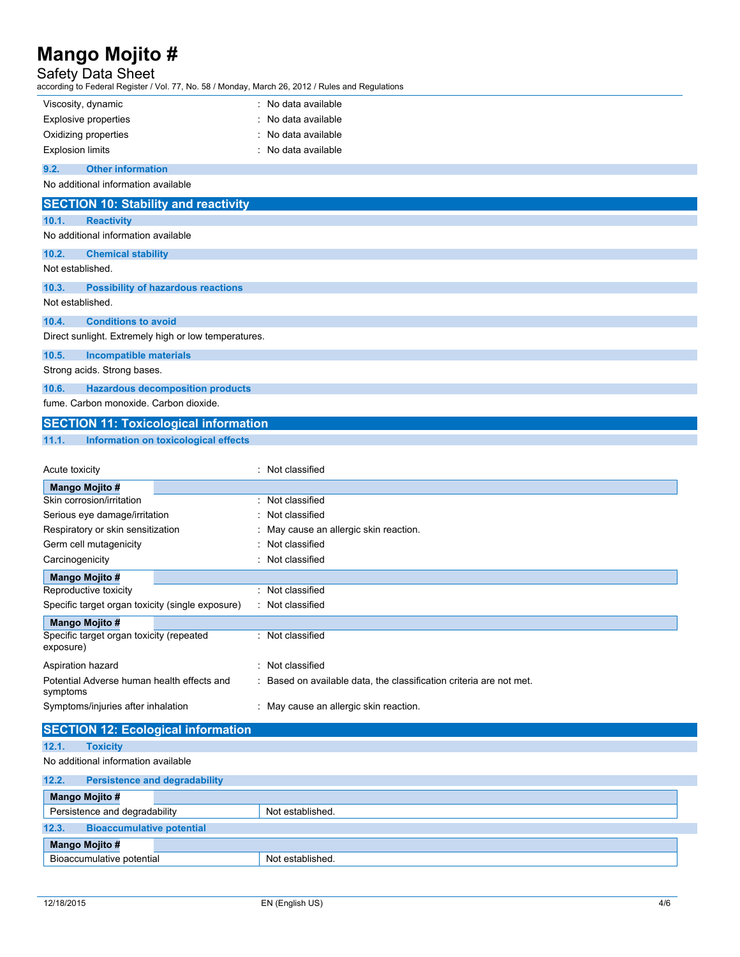### Safety Data Sheet

according to Federal Register / Vol. 77, No. 58 / Monday, March 26, 2012 / Rules and Regulations

| Viscosity, dynamic                                   | : No data available                                               |
|------------------------------------------------------|-------------------------------------------------------------------|
| Explosive properties                                 | No data available                                                 |
| Oxidizing properties                                 | No data available                                                 |
| <b>Explosion limits</b>                              | No data available                                                 |
| <b>Other information</b><br>9.2.                     |                                                                   |
| No additional information available                  |                                                                   |
|                                                      |                                                                   |
| <b>SECTION 10: Stability and reactivity</b>          |                                                                   |
| 10.1.<br><b>Reactivity</b>                           |                                                                   |
| No additional information available                  |                                                                   |
| 10.2.<br><b>Chemical stability</b>                   |                                                                   |
| Not established.                                     |                                                                   |
| 10.3.<br><b>Possibility of hazardous reactions</b>   |                                                                   |
| Not established.                                     |                                                                   |
|                                                      |                                                                   |
| 10.4.<br><b>Conditions to avoid</b>                  |                                                                   |
| Direct sunlight. Extremely high or low temperatures. |                                                                   |
| 10.5.<br><b>Incompatible materials</b>               |                                                                   |
| Strong acids. Strong bases.                          |                                                                   |
| 10.6.<br><b>Hazardous decomposition products</b>     |                                                                   |
| fume. Carbon monoxide. Carbon dioxide.               |                                                                   |
| <b>SECTION 11: Toxicological information</b>         |                                                                   |
|                                                      |                                                                   |
| 11.1.<br>Information on toxicological effects        |                                                                   |
|                                                      |                                                                   |
| Acute toxicity                                       | : Not classified                                                  |
| Mango Mojito #                                       |                                                                   |
| Skin corrosion/irritation                            | : Not classified                                                  |
| Serious eye damage/irritation                        | Not classified                                                    |
|                                                      |                                                                   |
| Respiratory or skin sensitization                    | May cause an allergic skin reaction.                              |
| Germ cell mutagenicity                               | Not classified                                                    |
| Carcinogenicity                                      | Not classified                                                    |
| <b>Mango Mojito #</b>                                |                                                                   |
| Reproductive toxicity                                | : Not classified                                                  |
| Specific target organ toxicity (single exposure)     | : Not classified                                                  |
| <b>Mango Mojito #</b>                                |                                                                   |
| Specific target organ toxicity (repeated             | : Not classified                                                  |
| exposure)                                            |                                                                   |
| Aspiration hazard                                    | : Not classified                                                  |
| Potential Adverse human health effects and           | Based on available data, the classification criteria are not met. |
| symptoms                                             |                                                                   |
| Symptoms/injuries after inhalation                   | : May cause an allergic skin reaction.                            |
|                                                      |                                                                   |
| <b>SECTION 12: Ecological information</b>            |                                                                   |
| <b>Toxicity</b><br>12.1.                             |                                                                   |
| No additional information available                  |                                                                   |
| 12.2.<br><b>Persistence and degradability</b>        |                                                                   |
| <b>Mango Mojito #</b>                                |                                                                   |
| Persistence and degradability                        | Not established.                                                  |
| <b>Bioaccumulative potential</b><br>12.3.            |                                                                   |
| <b>Mango Mojito #</b>                                |                                                                   |
| Bioaccumulative potential                            | Not established.                                                  |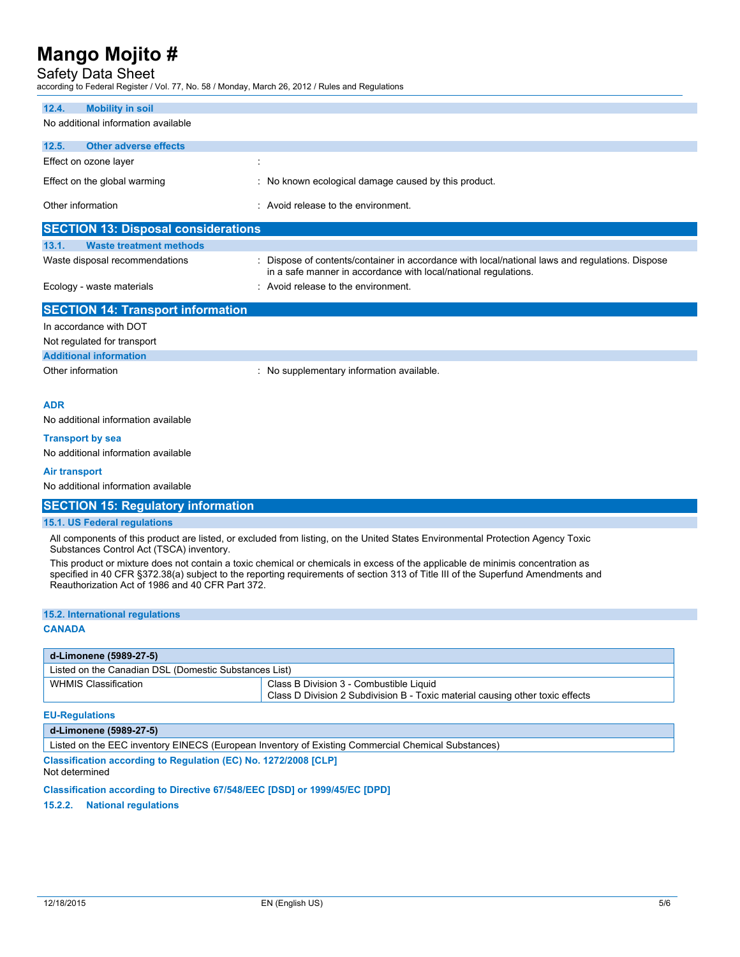### Safety Data Sheet

according to Federal Register / Vol. 77, No. 58 / Monday, March 26, 2012 / Rules and Regulations

| 12.4.<br><b>Mobility in soil</b>                                                                                                                                                                                                                                                                                       |                                                                                                                                                                  |  |
|------------------------------------------------------------------------------------------------------------------------------------------------------------------------------------------------------------------------------------------------------------------------------------------------------------------------|------------------------------------------------------------------------------------------------------------------------------------------------------------------|--|
| No additional information available                                                                                                                                                                                                                                                                                    |                                                                                                                                                                  |  |
| 12.5.<br><b>Other adverse effects</b>                                                                                                                                                                                                                                                                                  |                                                                                                                                                                  |  |
| Effect on ozone layer                                                                                                                                                                                                                                                                                                  |                                                                                                                                                                  |  |
| Effect on the global warming                                                                                                                                                                                                                                                                                           | : No known ecological damage caused by this product.                                                                                                             |  |
| Other information                                                                                                                                                                                                                                                                                                      | : Avoid release to the environment.                                                                                                                              |  |
| <b>SECTION 13: Disposal considerations</b>                                                                                                                                                                                                                                                                             |                                                                                                                                                                  |  |
| 13.1.<br><b>Waste treatment methods</b>                                                                                                                                                                                                                                                                                |                                                                                                                                                                  |  |
| Waste disposal recommendations                                                                                                                                                                                                                                                                                         | Dispose of contents/container in accordance with local/national laws and regulations. Dispose<br>in a safe manner in accordance with local/national regulations. |  |
| Ecology - waste materials                                                                                                                                                                                                                                                                                              | : Avoid release to the environment.                                                                                                                              |  |
| <b>SECTION 14: Transport information</b>                                                                                                                                                                                                                                                                               |                                                                                                                                                                  |  |
| In accordance with DOT                                                                                                                                                                                                                                                                                                 |                                                                                                                                                                  |  |
| Not regulated for transport                                                                                                                                                                                                                                                                                            |                                                                                                                                                                  |  |
| <b>Additional information</b>                                                                                                                                                                                                                                                                                          |                                                                                                                                                                  |  |
| Other information                                                                                                                                                                                                                                                                                                      | : No supplementary information available.                                                                                                                        |  |
|                                                                                                                                                                                                                                                                                                                        |                                                                                                                                                                  |  |
| <b>ADR</b>                                                                                                                                                                                                                                                                                                             |                                                                                                                                                                  |  |
| No additional information available                                                                                                                                                                                                                                                                                    |                                                                                                                                                                  |  |
| <b>Transport by sea</b>                                                                                                                                                                                                                                                                                                |                                                                                                                                                                  |  |
| No additional information available                                                                                                                                                                                                                                                                                    |                                                                                                                                                                  |  |
| <b>Air transport</b>                                                                                                                                                                                                                                                                                                   |                                                                                                                                                                  |  |
| No additional information available                                                                                                                                                                                                                                                                                    |                                                                                                                                                                  |  |
| <b>SECTION 15: Regulatory information</b>                                                                                                                                                                                                                                                                              |                                                                                                                                                                  |  |
| 15.1. US Federal regulations                                                                                                                                                                                                                                                                                           |                                                                                                                                                                  |  |
|                                                                                                                                                                                                                                                                                                                        | All components of this product are listed, or excluded from listing, on the United States Environmental Protection Agency Toxic                                  |  |
| Substances Control Act (TSCA) inventory.                                                                                                                                                                                                                                                                               |                                                                                                                                                                  |  |
| This product or mixture does not contain a toxic chemical or chemicals in excess of the applicable de minimis concentration as<br>specified in 40 CFR §372.38(a) subject to the reporting requirements of section 313 of Title III of the Superfund Amendments and<br>Reauthorization Act of 1986 and 40 CFR Part 372. |                                                                                                                                                                  |  |
| 15.2. International regulations                                                                                                                                                                                                                                                                                        |                                                                                                                                                                  |  |
| <b>CANADA</b>                                                                                                                                                                                                                                                                                                          |                                                                                                                                                                  |  |
|                                                                                                                                                                                                                                                                                                                        |                                                                                                                                                                  |  |
| d-Limonene (5989-27-5)                                                                                                                                                                                                                                                                                                 |                                                                                                                                                                  |  |
| Listed on the Canadian DSL (Domestic Substances List)                                                                                                                                                                                                                                                                  |                                                                                                                                                                  |  |

| VHMIS Classification | Class B Division 3 - Combustible Liquid                                       |
|----------------------|-------------------------------------------------------------------------------|
|                      | Class D Division 2 Subdivision B - Toxic material causing other toxic effects |
|                      |                                                                               |

#### **EU-Regulations**

#### **d-Limonene (5989-27-5)**

Listed on the EEC inventory EINECS (European Inventory of Existing Commercial Chemical Substances)

**Classification according to Regulation (EC) No. 1272/2008 [CLP]** Not determined

**Classification according to Directive 67/548/EEC [DSD] or 1999/45/EC [DPD]**

**15.2.2. National regulations**